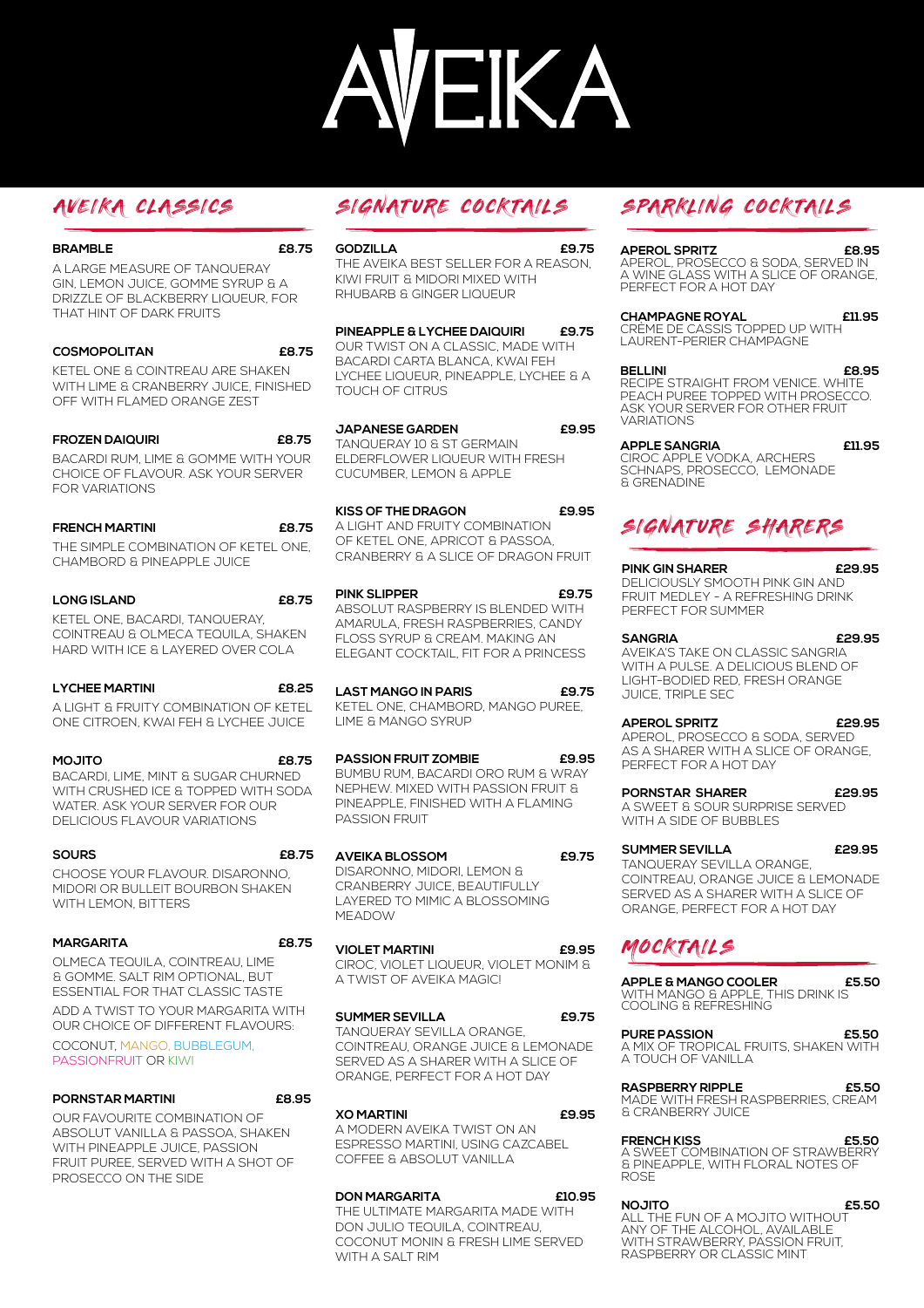# EKA

| <b>BRAMBLE</b>                                                    | £8.75 |
|-------------------------------------------------------------------|-------|
| A LARGE MEASURE OF TANQUERAY<br>GIN. LEMON JUICE. GOMME SYRUP & A |       |
| DRIZZLE OF BLACKBERRY LIQUEUR. FOR                                |       |
| THAT HINT OF DARK FRUITS                                          |       |

| <b>COSMOPOLITAN</b>                   | £8.75 |
|---------------------------------------|-------|
| KETEL ONE & COINTREAU ARE SHAKEN      |       |
| WITH LIME & CRANBERRY JUICE. FINISHED |       |
| OFF WITH FLAMED ORANGE ZEST           |       |

**FROZEN DAIQUIRI £8.75** BACARDI RUM, LIME & GOMME WITH YOUR CHOICE OF FLAVOUR. ASK YOUR SERVER FOR VARIATIONS

| <b>FRENCH MARTINI</b>                | £8.75 |
|--------------------------------------|-------|
| THE SIMPLE COMBINATION OF KETEL ONE. |       |
| CHAMBORD & PINEAPPLE JUICE           |       |

## **LONG ISLAND £8.75** KETEL ONE, BACARDI, TANQUERAY, COINTREAU & OLMECA TEQUILA, SHAKEN HARD WITH ICE & LAYERED OVER COLA

| <b>LYCHEE MARTINI</b>                 | £8.25 |
|---------------------------------------|-------|
| A LIGHT & FRUITY COMBINATION OF KETEL |       |
| ONE CITROEN. KWAI FEH & LYCHEE JUICE  |       |

**MOJITO £8.75**  BACARDI, LIME, MINT & SUGAR CHURNED WITH CRUSHED ICE & TOPPED WITH SODA WATER. ASK YOUR SERVER FOR OUR DELICIOUS FLAVOUR VARIATIONS

## **SOURS £8.75** CHOOSE YOUR FLAVOUR. DISARONNO, MIDORI OR BULLEIT BOURBON SHAKEN WITH LEMON, BITTERS

## **MARGARITA £8.75** OLMECA TEQUILA, COINTREAU, LIME & GOMME. SALT RIM OPTIONAL, BUT ESSENTIAL FOR THAT CLASSIC TASTE ADD A TWIST TO YOUR MARGARITA WITH OUR CHOICE OF DIFFERENT FLAVOURS: COCONUT, MANGO, BUBBLEGUM, PASSIONFRUIT OR KIWI

| PORNSTAR MARTINI                   | £8.95 |
|------------------------------------|-------|
| OUR FAVOURITE COMBINATION OF       |       |
| ABSOLUT VANILLA & PASSOA. SHAKEN   |       |
| WITH PINEAPPLE JUICE. PASSION      |       |
| FRUIT PUREE, SERVED WITH A SHOT OF |       |

PROSECCO ON THE SIDE

**GODZILLA £9.75** THE AVEIKA BEST SELLER FOR A REASON, KIWI FRUIT & MIDORI MIXED WITH RHUBARB & GINGER LIQUEUR

**PINEAPPLE & LYCHEE DAIQUIRI £9.75** OUR TWIST ON A CLASSIC, MADE WITH BACARDI CARTA BLANCA, KWAI FEH LYCHEE LIQUEUR, PINEAPPLE, LYCHEE & A TOUCH OF CITRUS

**JAPANESE GARDEN £9.95** TANQUERAY 10 & ST GERMAIN ELDERFLOWER LIQUEUR WITH FRESH CUCUMBER, LEMON & APPLE

**KISS OF THE DRAGON £9.95** A LIGHT AND FRUITY COMBINATION OF KETEL ONE, APRICOT & PASSOA, CRANBERRY & A SLICE OF DRAGON FRUIT

**PINK SLIPPER £9.75** ABSOLUT RASPBERRY IS BLENDED WITH AMARULA, FRESH RASPBERRIES, CANDY FLOSS SYRUP & CREAM. MAKING AN ELEGANT COCKTAIL, FIT FOR A PRINCESS

**LAST MANGO IN PARIS £9.75** KETEL ONE, CHAMBORD, MANGO PUREE, LIME & MANGO SYRUP

**PASSION FRUIT ZOMBIE £9.95** BUMBU RUM, BACARDI ORO RUM & WRAY NEPHEW. MIXED WITH PASSION FRUIT & PINEAPPLE, FINISHED WITH A FLAMING PASSION FRUIT

**AVEIKA BLOSSOM £9.75** DISARONNO, MIDORI, LEMON & CRANBERRY JUICE, BEAUTIFULLY LAYERED TO MIMIC A BLOSSOMING MEADOW/

**VIOLET MARTINI £9.95** CIROC, VIOLET LIQUEUR, VIOLET MONIM & A TWIST OF AVEIKA MAGIC!

**SUMMER SEVILLA £9.75** TANQUERAY SEVILLA ORANGE, COINTREAU, ORANGE JUICE & LEMONADE SERVED AS A SHARER WITH A SLICE OF ORANGE, PERFECT FOR A HOT DAY

**XO MARTINI £9.95** A MODERN AVEIKA TWIST ON AN ESPRESSO MARTINI, USING CAZCABEL COFFEE & ABSOLUT VANILLA

**DON MARGARITA £10.95** THE ULTIMATE MARGARITA MADE WITH DON JULIO TEQUILA, COINTREAU, COCONUT MONIN & FRESH LIME SERVED WITH A SALT RIM

# AVEIKA CLASSICS SIGNATURE COCKTAILS SPARKLING COCKTAILS

# **APEROL SPRITZ £8.95**

APEROL, PROSECCO & SODA, SERVED IN A WINE GLASS WITH A SLICE OF ORANGE, PERFECT FOR A HOT DAY

**CHAMPAGNE ROYAL £11.95**

CRÈME DE CASSIS TOPPED UP WITH LAURENT-PERIER CHAMPAGNE

## **BELLINI £8.95**

RECIPE STRAIGHT FROM VENICE. WHITE PEACH PUREE TOPPED WITH PROSECCO. ASK YOUR SERVER FOR OTHER FRUIT **VARIATIONS** 

## **APPLE SANGRIA £11.95**

CIROC APPLE VODKA, ARCHERS SCHNAPS, PROSECCO, LEMONADE & GRENADINE

# SIGNATURE SHARERS

## **PINK GIN SHARER £29.95**

DELICIOUSLY SMOOTH PINK GIN AND FRUIT MEDLEY - A REFRESHING DRINK PERFECT FOR SUMMER

**SANGRIA £29.95** AVEIKA'S TAKE ON CLASSIC SANGRIA WITH A PULSE. A DELICIOUS BLEND OF LIGHT-BODIED RED, FRESH ORANGE **JUICE, TRIPLE SEC.** 

**APEROL SPRITZ £29.95** APEROL, PROSECCO & SODA, SERVED

AS A SHARER WITH A SLICE OF ORANGE, PERFECT FOR A HOT DAY

**PORNSTAR SHARER £29.95** A SWEET & SOUR SURPRISE SERVED WITH A SIDE OF BUBBLES

**SUMMER SEVILLA £29.95**

TANQUERAY SEVILLA ORANGE, COINTREAU, ORANGE JUICE & LEMONADE SERVED AS A SHARER WITH A SLICE OF ORANGE, PERFECT FOR A HOT DAY

# MOCKTAILS

**APPLE & MANGO COOLER £5.50** WITH MANGO & APPLE, THIS DRINK IS COOLING & REFRESHING

**PURE PASSION £5.50** A MIX OF TROPICAL FRUITS, SHAKEN WITH A TOUCH OF VANILLA

**RASPBERRY RIPPLE £5.50** MADE WITH FRESH RASPBERRIES, CREAM

& CRANBERRY JUICE

**FRENCH KISS £5.50** A SWEET COMBINATION OF STRAWBERRY & PINEAPPLE, WITH FLORAL NOTES OF **ROSE** 

**NOJITO £5.50** ALL THE FUN OF A MOJITO WITHOUT ANY OF THE ALCOHOL, AVAILABLE<br>WITH STRAWBERRY, PASSION FRUIT,<br>RASPBERRY OR CLASSIC MINT